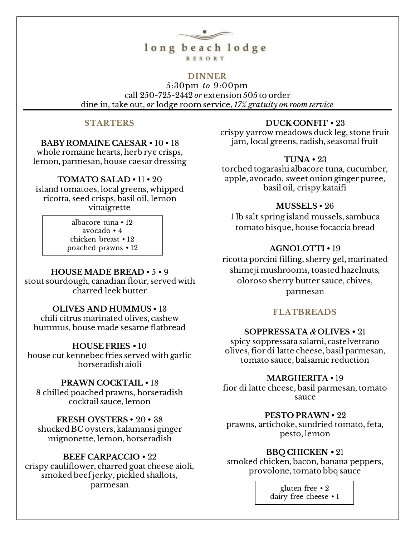

### **DINNER** 5:30pm *to* 9:00pm call 250-725-2442 *or* extension 505 to order dine in, take out, *or* lodge room service, *17% gratuity on room service*

### **STARTERS**

## **BABY ROMAINE CAESAR** • 10 • 18

whole romaine hearts, herb rye crisps, lemon, parmesan, house caesar dressing

## **TOMATO SALAD** • 11 • 20

island tomatoes, local greens, whipped ricotta, seed crisps, basil oil, lemon vinaigrette

albacore tuna • 12

avocado • 4 chicken breast • 12 poached prawns • 12

### **HOUSE MADE BREAD** • 5 • 9

stout sourdough, canadian flour, served with charred leek butter

## **OLIVES AND HUMMUS •** 13

chili citrus marinated olives, cashew hummus, house made sesame flatbread

### **HOUSE FRIES •** 10

house cut kennebec fries served with garlic horseradish aioli

## **PRAWN COCKTAIL •** 18

8 chilled poached prawns, horseradish cocktail sauce, lemon

**FRESH OYSTERS** • 20 • 38

shucked BC oysters, kalamansi ginger mignonette, lemon, horseradish

## **BEEF CARPACCIO** • 22

crispy cauliflower, charred goat cheese aioli, smoked beef jerky, pickled shallots, parmesan

## **DUCK CONFIT** • 23

crispy yarrow meadows duck leg, stone fruit jam, local greens, radish, seasonal fruit

### **TUNA** • 23

torched togarashi albacore tuna, cucumber, apple, avocado, sweet onion ginger puree, basil oil, crispy kataifi

## **MUSSELS** • 26

1 lb salt spring island mussels, sambuca tomato bisque, house focaccia bread

## **AGNOLOTTI** • 19

ricotta porcini filling, sherry gel, marinated shimeji mushrooms, toasted hazelnuts, oloroso sherry butter sauce, chives, parmesan

# **FLATBREADS**

## **SOPPRESSATA & OLIVES •** 21

spicy soppressata salami, castelvetrano olives, fior di latte cheese, basil parmesan, tomato sauce, balsamic reduction

## **MARGHERITA •** 19

fior di latte cheese, basil parmesan, tomato sauce

## **PESTO PRAWN •** 22

prawns, artichoke, sundried tomato, feta, pesto, lemon

## **BBQ CHICKEN •** 21

smoked chicken, bacon, banana peppers, provolone, tomato bbq sauce

> gluten free • 2 dairy free cheese • 1